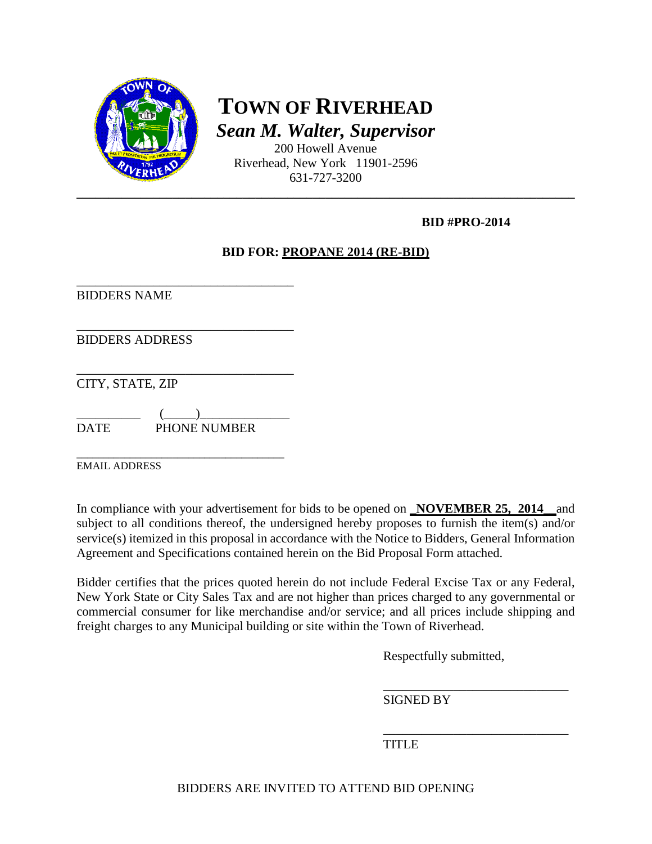

**TOWN OF RIVERHEAD** *Sean M. Walter, Supervisor*

200 Howell Avenue Riverhead, New York 11901-2596 631-727-3200

### **BID #PRO-2014**

### **BID FOR: PROPANE 2014 (RE-BID)**

\_\_\_\_\_\_\_\_\_\_\_\_\_\_\_\_\_\_\_\_\_\_\_\_\_\_\_\_\_\_\_\_\_\_ BIDDERS NAME

\_\_\_\_\_\_\_\_\_\_\_\_\_\_\_\_\_\_\_\_\_\_\_\_\_\_\_\_\_\_\_\_\_\_ BIDDERS ADDRESS

\_\_\_\_\_\_\_\_\_\_\_\_\_\_\_\_\_\_\_\_\_\_\_\_\_\_\_\_\_\_\_\_\_\_ CITY, STATE, ZIP

 $\qquad \qquad (\underline{\hspace{1cm}})$ DATE PHONE NUMBER

\_\_\_\_\_\_\_\_\_\_\_\_\_\_\_\_\_\_\_\_\_\_\_\_\_\_\_\_\_\_\_\_\_\_\_\_\_\_\_ EMAIL ADDRESS

In compliance with your advertisement for bids to be opened on **\_NOVEMBER 25, 2014\_\_**and subject to all conditions thereof, the undersigned hereby proposes to furnish the item(s) and/or service(s) itemized in this proposal in accordance with the Notice to Bidders, General Information Agreement and Specifications contained herein on the Bid Proposal Form attached.

Bidder certifies that the prices quoted herein do not include Federal Excise Tax or any Federal, New York State or City Sales Tax and are not higher than prices charged to any governmental or commercial consumer for like merchandise and/or service; and all prices include shipping and freight charges to any Municipal building or site within the Town of Riverhead.

Respectfully submitted,

\_\_\_\_\_\_\_\_\_\_\_\_\_\_\_\_\_\_\_\_\_\_\_\_\_\_\_\_\_ SIGNED BY

\_\_\_\_\_\_\_\_\_\_\_\_\_\_\_\_\_\_\_\_\_\_\_\_\_\_\_\_\_ **TITLE**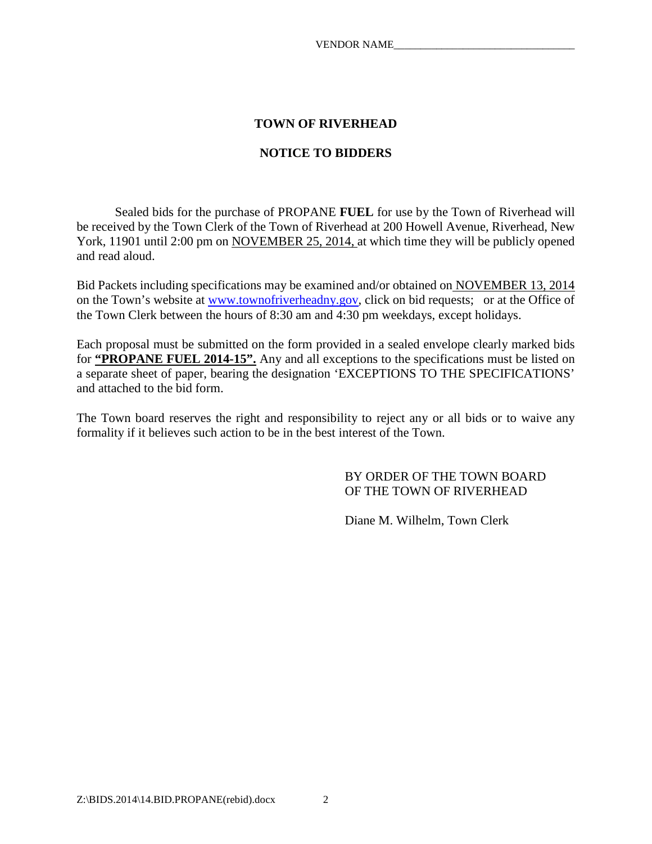### **TOWN OF RIVERHEAD**

### **NOTICE TO BIDDERS**

Sealed bids for the purchase of PROPANE **FUEL** for use by the Town of Riverhead will be received by the Town Clerk of the Town of Riverhead at 200 Howell Avenue, Riverhead, New York, 11901 until 2:00 pm on NOVEMBER 25, 2014, at which time they will be publicly opened and read aloud.

Bid Packets including specifications may be examined and/or obtained on NOVEMBER 13, 2014 on the Town's website at [www.townofriverheadny.gov,](http://www.townofriverheadny.gov/) click on bid requests; or at the Office of the Town Clerk between the hours of 8:30 am and 4:30 pm weekdays, except holidays.

Each proposal must be submitted on the form provided in a sealed envelope clearly marked bids for **"PROPANE FUEL 2014-15".** Any and all exceptions to the specifications must be listed on a separate sheet of paper, bearing the designation 'EXCEPTIONS TO THE SPECIFICATIONS' and attached to the bid form.

The Town board reserves the right and responsibility to reject any or all bids or to waive any formality if it believes such action to be in the best interest of the Town.

> BY ORDER OF THE TOWN BOARD OF THE TOWN OF RIVERHEAD

Diane M. Wilhelm, Town Clerk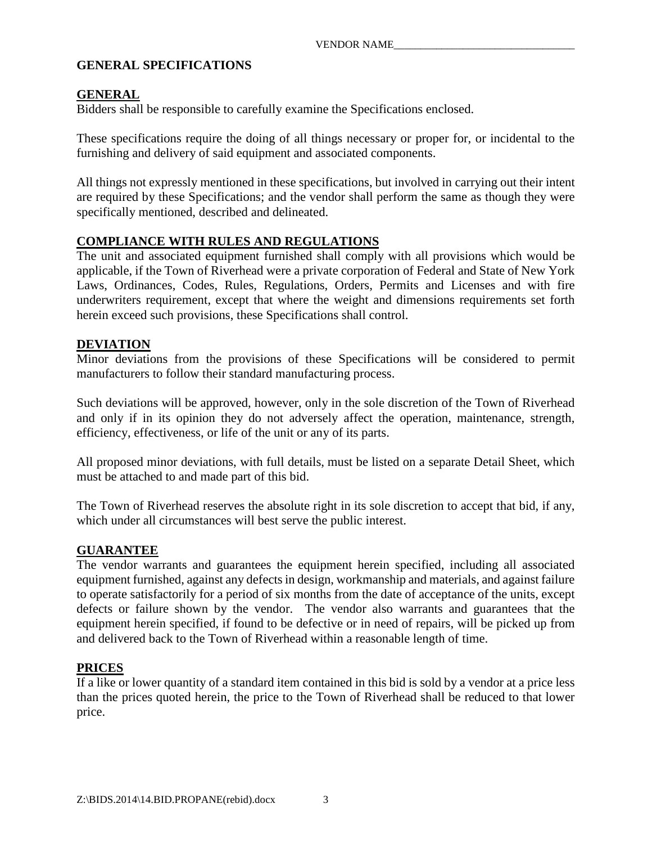### **GENERAL SPECIFICATIONS**

### **GENERAL**

Bidders shall be responsible to carefully examine the Specifications enclosed.

These specifications require the doing of all things necessary or proper for, or incidental to the furnishing and delivery of said equipment and associated components.

All things not expressly mentioned in these specifications, but involved in carrying out their intent are required by these Specifications; and the vendor shall perform the same as though they were specifically mentioned, described and delineated.

### **COMPLIANCE WITH RULES AND REGULATIONS**

The unit and associated equipment furnished shall comply with all provisions which would be applicable, if the Town of Riverhead were a private corporation of Federal and State of New York Laws, Ordinances, Codes, Rules, Regulations, Orders, Permits and Licenses and with fire underwriters requirement, except that where the weight and dimensions requirements set forth herein exceed such provisions, these Specifications shall control.

#### **DEVIATION**

Minor deviations from the provisions of these Specifications will be considered to permit manufacturers to follow their standard manufacturing process.

Such deviations will be approved, however, only in the sole discretion of the Town of Riverhead and only if in its opinion they do not adversely affect the operation, maintenance, strength, efficiency, effectiveness, or life of the unit or any of its parts.

All proposed minor deviations, with full details, must be listed on a separate Detail Sheet, which must be attached to and made part of this bid.

The Town of Riverhead reserves the absolute right in its sole discretion to accept that bid, if any, which under all circumstances will best serve the public interest.

#### **GUARANTEE**

The vendor warrants and guarantees the equipment herein specified, including all associated equipment furnished, against any defects in design, workmanship and materials, and against failure to operate satisfactorily for a period of six months from the date of acceptance of the units, except defects or failure shown by the vendor. The vendor also warrants and guarantees that the equipment herein specified, if found to be defective or in need of repairs, will be picked up from and delivered back to the Town of Riverhead within a reasonable length of time.

### **PRICES**

If a like or lower quantity of a standard item contained in this bid is sold by a vendor at a price less than the prices quoted herein, the price to the Town of Riverhead shall be reduced to that lower price.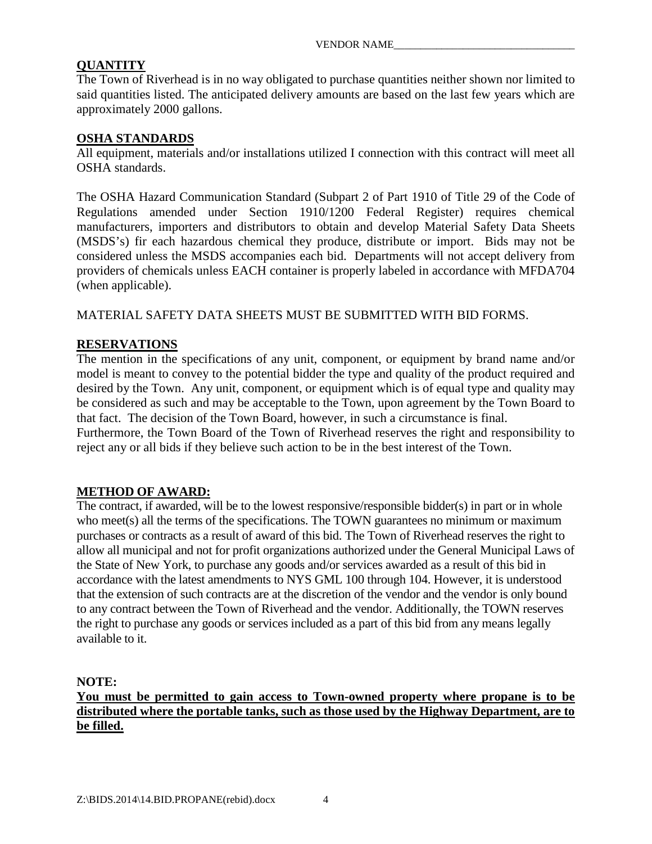### **QUANTITY**

The Town of Riverhead is in no way obligated to purchase quantities neither shown nor limited to said quantities listed. The anticipated delivery amounts are based on the last few years which are approximately 2000 gallons.

#### **OSHA STANDARDS**

All equipment, materials and/or installations utilized I connection with this contract will meet all OSHA standards.

The OSHA Hazard Communication Standard (Subpart 2 of Part 1910 of Title 29 of the Code of Regulations amended under Section 1910/1200 Federal Register) requires chemical manufacturers, importers and distributors to obtain and develop Material Safety Data Sheets (MSDS's) fir each hazardous chemical they produce, distribute or import. Bids may not be considered unless the MSDS accompanies each bid. Departments will not accept delivery from providers of chemicals unless EACH container is properly labeled in accordance with MFDA704 (when applicable).

MATERIAL SAFETY DATA SHEETS MUST BE SUBMITTED WITH BID FORMS.

### **RESERVATIONS**

The mention in the specifications of any unit, component, or equipment by brand name and/or model is meant to convey to the potential bidder the type and quality of the product required and desired by the Town. Any unit, component, or equipment which is of equal type and quality may be considered as such and may be acceptable to the Town, upon agreement by the Town Board to that fact. The decision of the Town Board, however, in such a circumstance is final. Furthermore, the Town Board of the Town of Riverhead reserves the right and responsibility to reject any or all bids if they believe such action to be in the best interest of the Town.

### **METHOD OF AWARD:**

The contract, if awarded, will be to the lowest responsive/responsible bidder(s) in part or in whole who meet(s) all the terms of the specifications. The TOWN guarantees no minimum or maximum purchases or contracts as a result of award of this bid. The Town of Riverhead reserves the right to allow all municipal and not for profit organizations authorized under the General Municipal Laws of the State of New York, to purchase any goods and/or services awarded as a result of this bid in accordance with the latest amendments to NYS GML 100 through 104. However, it is understood that the extension of such contracts are at the discretion of the vendor and the vendor is only bound to any contract between the Town of Riverhead and the vendor. Additionally, the TOWN reserves the right to purchase any goods or services included as a part of this bid from any means legally available to it.

### **NOTE:**

### **You must be permitted to gain access to Town-owned property where propane is to be distributed where the portable tanks, such as those used by the Highway Department, are to be filled.**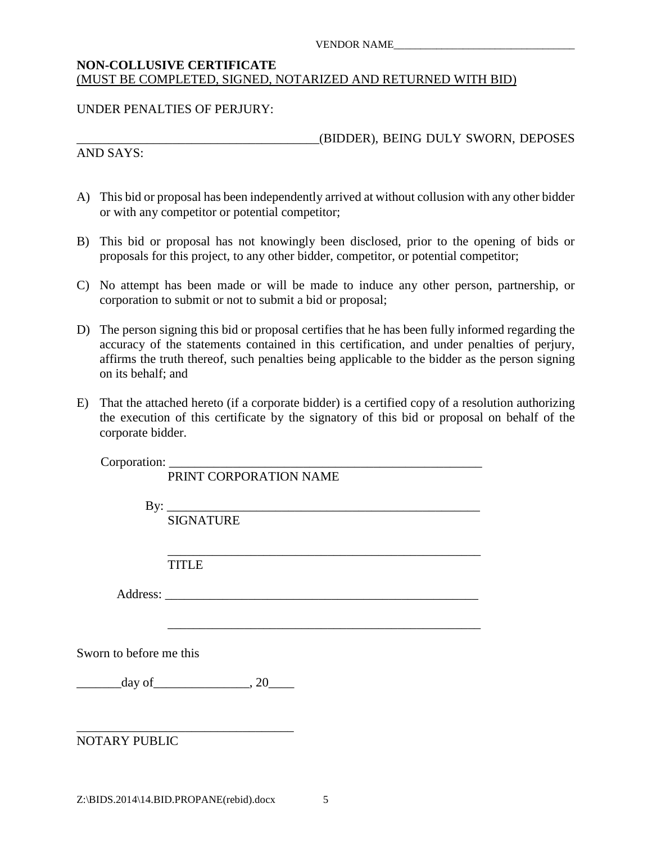#### VENDOR NAME\_\_\_\_\_\_\_\_\_\_\_\_\_\_\_\_\_\_\_\_\_\_\_\_\_\_\_\_\_\_\_\_\_\_

#### **NON-COLLUSIVE CERTIFICATE** (MUST BE COMPLETED, SIGNED, NOTARIZED AND RETURNED WITH BID)

#### UNDER PENALTIES OF PERJURY:

AND SAYS:

\_\_\_\_\_\_\_\_\_\_\_\_\_\_\_\_\_\_\_\_\_\_\_\_\_\_\_\_\_\_\_\_\_\_\_\_\_\_(BIDDER), BEING DULY SWORN, DEPOSES

- A) This bid or proposal has been independently arrived at without collusion with any other bidder or with any competitor or potential competitor;
- B) This bid or proposal has not knowingly been disclosed, prior to the opening of bids or proposals for this project, to any other bidder, competitor, or potential competitor;
- C) No attempt has been made or will be made to induce any other person, partnership, or corporation to submit or not to submit a bid or proposal;
- D) The person signing this bid or proposal certifies that he has been fully informed regarding the accuracy of the statements contained in this certification, and under penalties of perjury, affirms the truth thereof, such penalties being applicable to the bidder as the person signing on its behalf; and
- E) That the attached hereto (if a corporate bidder) is a certified copy of a resolution authorizing the execution of this certificate by the signatory of this bid or proposal on behalf of the corporate bidder.

Corporation: \_\_\_\_\_\_\_\_\_\_\_\_\_\_\_\_\_\_\_\_\_\_\_\_\_\_\_\_\_\_\_\_\_\_\_\_\_\_\_\_\_\_\_\_\_\_\_\_\_

|                         | PRINT CORPORATION NAME |
|-------------------------|------------------------|
|                         | By: $\qquad \qquad$    |
|                         | <b>SIGNATURE</b>       |
|                         |                        |
|                         | <b>TITLE</b>           |
|                         |                        |
|                         |                        |
|                         |                        |
| Sworn to before me this |                        |
|                         |                        |
|                         |                        |
|                         |                        |
| NOTARY PUBLIC           |                        |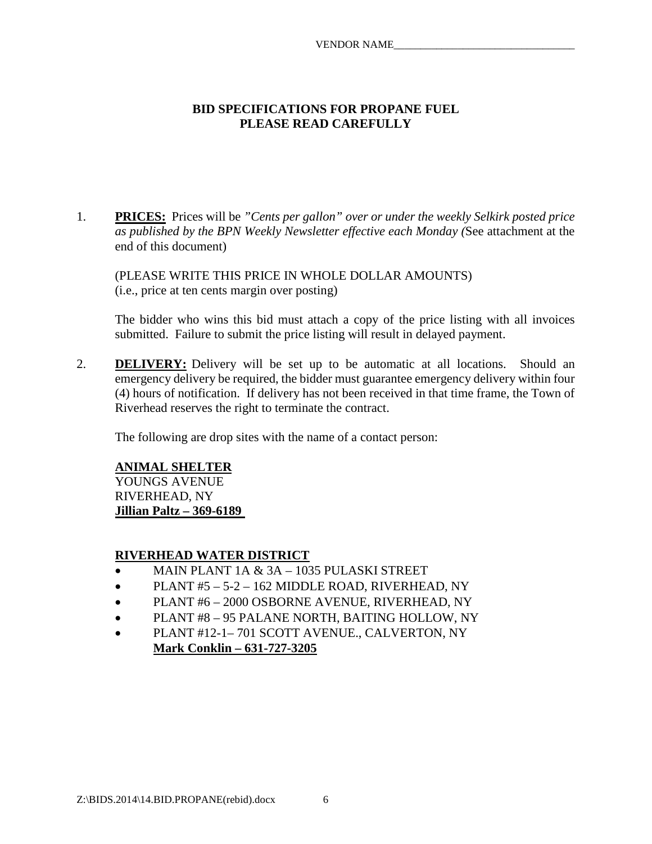#### **BID SPECIFICATIONS FOR PROPANE FUEL PLEASE READ CAREFULLY**

1. **PRICES:** Prices will be *"Cents per gallon" over or under the weekly Selkirk posted price as published by the BPN Weekly Newsletter effective each Monday (*See attachment at the end of this document)

(PLEASE WRITE THIS PRICE IN WHOLE DOLLAR AMOUNTS) (i.e., price at ten cents margin over posting)

The bidder who wins this bid must attach a copy of the price listing with all invoices submitted. Failure to submit the price listing will result in delayed payment.

2. **DELIVERY:** Delivery will be set up to be automatic at all locations. Should an emergency delivery be required, the bidder must guarantee emergency delivery within four (4) hours of notification. If delivery has not been received in that time frame, the Town of Riverhead reserves the right to terminate the contract.

The following are drop sites with the name of a contact person:

### **ANIMAL SHELTER**

YOUNGS AVENUE RIVERHEAD, NY **Jillian Paltz – 369-6189** 

#### **RIVERHEAD WATER DISTRICT**

- MAIN PLANT 1A & 3A 1035 PULASKI STREET
- PLANT #5 5-2 162 MIDDLE ROAD, RIVERHEAD, NY
- PLANT #6 2000 OSBORNE AVENUE, RIVERHEAD, NY
- PLANT #8 95 PALANE NORTH, BAITING HOLLOW, NY
- PLANT #12-1– 701 SCOTT AVENUE., CALVERTON, NY **Mark Conklin – 631-727-3205**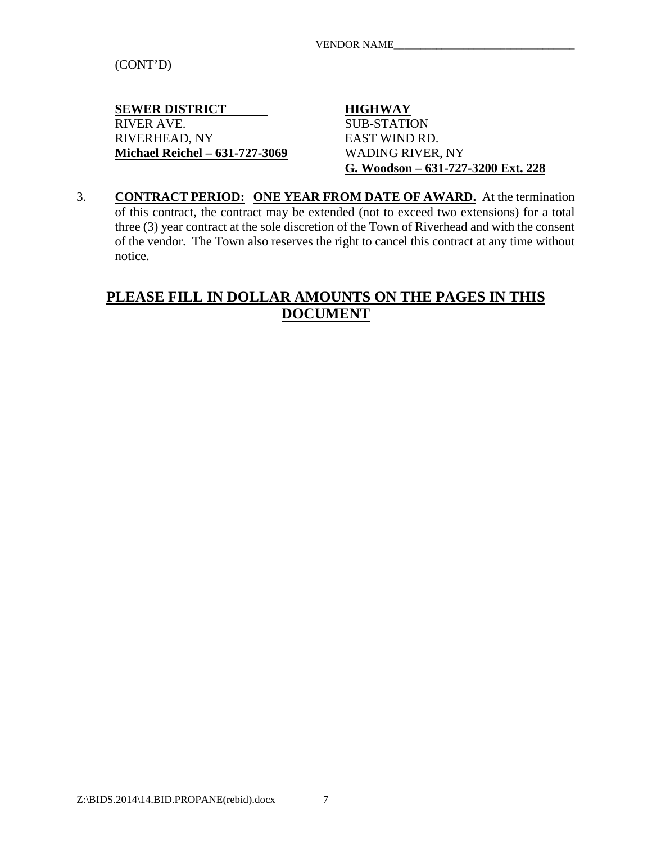(CONT'D)

**SEWER DISTRICT HIGHWAY**<br>RIVER AVE. SUB-STATIO RIVERHEAD, NY EAST WIND RD. **Michael Reichel – 631-727-3069** WADING RIVER, NY

**SUB-STATION G. Woodson – 631-727-3200 Ext. 228**

3. **CONTRACT PERIOD: ONE YEAR FROM DATE OF AWARD.** At the termination of this contract, the contract may be extended (not to exceed two extensions) for a total three (3) year contract at the sole discretion of the Town of Riverhead and with the consent of the vendor. The Town also reserves the right to cancel this contract at any time without notice.

# **PLEASE FILL IN DOLLAR AMOUNTS ON THE PAGES IN THIS DOCUMENT**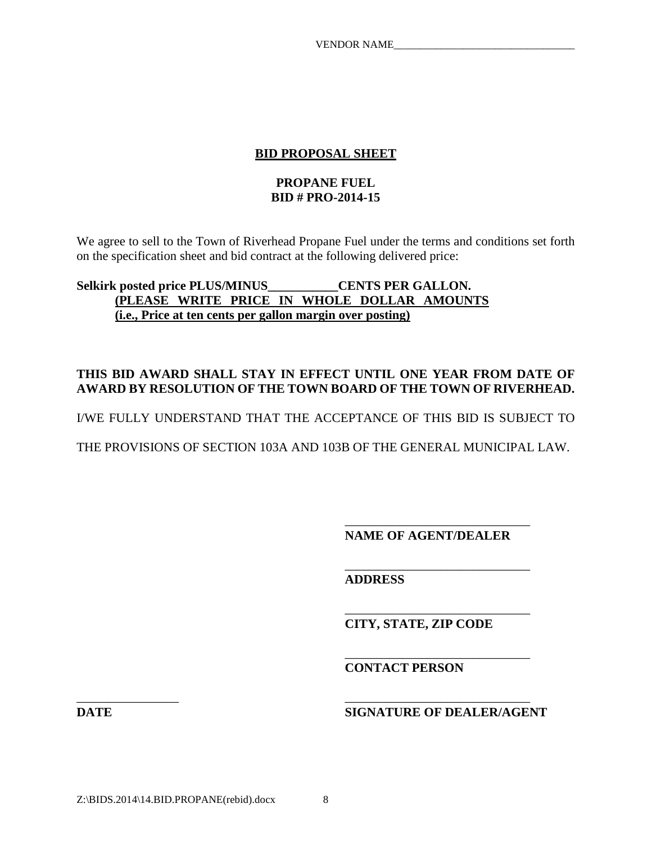### **BID PROPOSAL SHEET**

#### **PROPANE FUEL BID # PRO-2014-15**

We agree to sell to the Town of Riverhead Propane Fuel under the terms and conditions set forth on the specification sheet and bid contract at the following delivered price:

### **Selkirk posted price PLUS/MINUS\_\_\_\_\_\_\_\_\_\_\_CENTS PER GALLON. (PLEASE WRITE PRICE IN WHOLE DOLLAR AMOUNTS (i.e., Price at ten cents per gallon margin over posting)**

### **THIS BID AWARD SHALL STAY IN EFFECT UNTIL ONE YEAR FROM DATE OF AWARD BY RESOLUTION OF THE TOWN BOARD OF THE TOWN OF RIVERHEAD.**

I/WE FULLY UNDERSTAND THAT THE ACCEPTANCE OF THIS BID IS SUBJECT TO

THE PROVISIONS OF SECTION 103A AND 103B OF THE GENERAL MUNICIPAL LAW.

**NAME OF AGENT/DEALER**

\_\_\_\_\_\_\_\_\_\_\_\_\_\_\_\_\_\_\_\_\_\_\_\_\_\_\_\_\_

\_\_\_\_\_\_\_\_\_\_\_\_\_\_\_\_\_\_\_\_\_\_\_\_\_\_\_\_\_

\_\_\_\_\_\_\_\_\_\_\_\_\_\_\_\_\_\_\_\_\_\_\_\_\_\_\_\_\_

\_\_\_\_\_\_\_\_\_\_\_\_\_\_\_\_\_\_\_\_\_\_\_\_\_\_\_\_\_

**ADDRESS**

**CITY, STATE, ZIP CODE**

**CONTACT PERSON**

\_\_\_\_\_\_\_\_\_\_\_\_\_\_\_\_ \_\_\_\_\_\_\_\_\_\_\_\_\_\_\_\_\_\_\_\_\_\_\_\_\_\_\_\_\_ **DATE SIGNATURE OF DEALER/AGENT**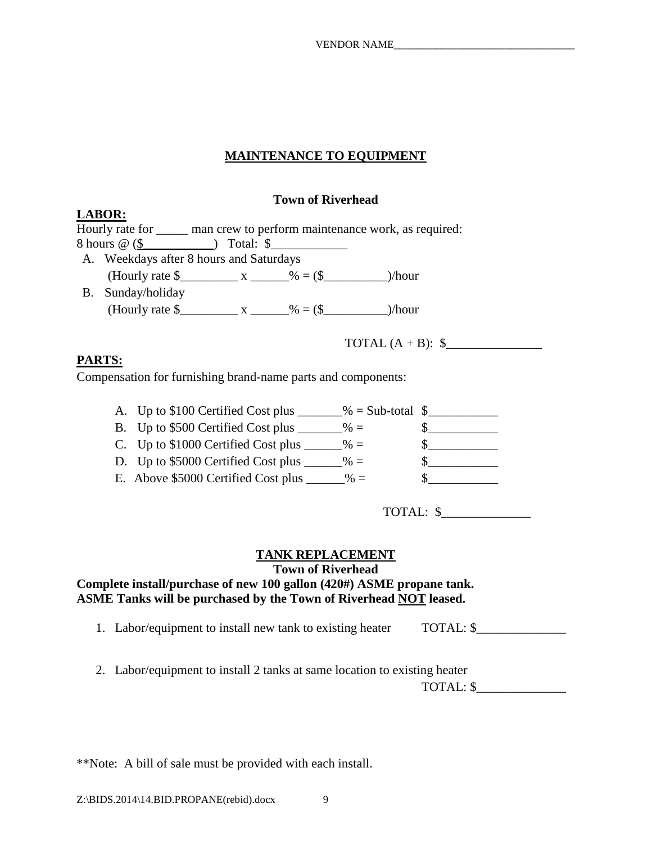### **MAINTENANCE TO EQUIPMENT**

#### **Town of Riverhead**

|           | <u>LABOR:</u>                                              |  |                                                                                 |  |
|-----------|------------------------------------------------------------|--|---------------------------------------------------------------------------------|--|
|           |                                                            |  | Hourly rate for <u>equal</u> man crew to perform maintenance work, as required: |  |
|           |                                                            |  |                                                                                 |  |
|           | A. Weekdays after 8 hours and Saturdays                    |  |                                                                                 |  |
|           | (Hourly rate $\frac{1}{2}$ x _________ % = (\$             |  | )/hour                                                                          |  |
| <b>B.</b> | Sunday/holiday                                             |  |                                                                                 |  |
|           | (Hourly rate $\frac{1}{2}$ x ______ % = (\$ _______ )/hour |  |                                                                                 |  |
|           |                                                            |  |                                                                                 |  |

TOTAL  $(A + B)$ :  $\$ 

### **PARTS:**

Compensation for furnishing brand-name parts and components:

| A. Up to \$100 Certified Cost plus            | $\%$ = Sub-total $\$$ |  |
|-----------------------------------------------|-----------------------|--|
| B. Up to \$500 Certified Cost plus<br>$\% =$  |                       |  |
| C. Up to \$1000 Certified Cost plus<br>$\% =$ |                       |  |
| D. Up to \$5000 Certified Cost plus<br>$% =$  |                       |  |
| E. Above \$5000 Certified Cost plus<br>$\% =$ |                       |  |

TOTAL: \$\_\_\_\_\_\_\_\_\_\_\_\_\_\_

### **TANK REPLACEMENT**

**Town of Riverhead**

## **Complete install/purchase of new 100 gallon (420#) ASME propane tank. ASME Tanks will be purchased by the Town of Riverhead NOT leased.**

- 1. Labor/equipment to install new tank to existing heater TOTAL: \$
- 2. Labor/equipment to install 2 tanks at same location to existing heater

| TOTAL: \$ |  |
|-----------|--|
|           |  |

\*\*Note: A bill of sale must be provided with each install.